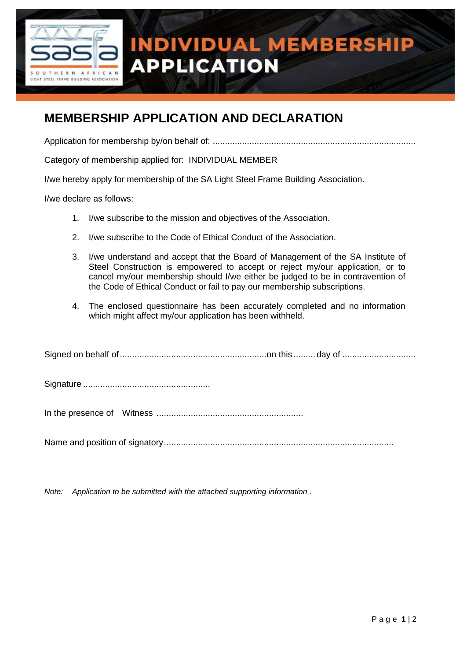

## **INDIVIDUAL MEMBERSHIP APPLICATION**

## **MEMBERSHIP APPLICATION AND DECLARATION**

Application for membership by/on behalf of: ...................................................................................

Category of membership applied for: INDIVIDUAL MEMBER

I/we hereby apply for membership of the SA Light Steel Frame Building Association.

I/we declare as follows:

- 1. I/we subscribe to the mission and objectives of the Association.
- 2. I/we subscribe to the Code of Ethical Conduct of the Association.
- 3. I/we understand and accept that the Board of Management of the SA Institute of Steel Construction is empowered to accept or reject my/our application, or to cancel my/our membership should I/we either be judged to be in contravention of the Code of Ethical Conduct or fail to pay our membership subscriptions.
- 4. The enclosed questionnaire has been accurately completed and no information which might affect my/our application has been withheld.

|--|--|--|

Signature ....................................................

In the presence of Witness ............................................................

Name and position of signatory..............................................................................................

*Note: Application to be submitted with the attached supporting information .*